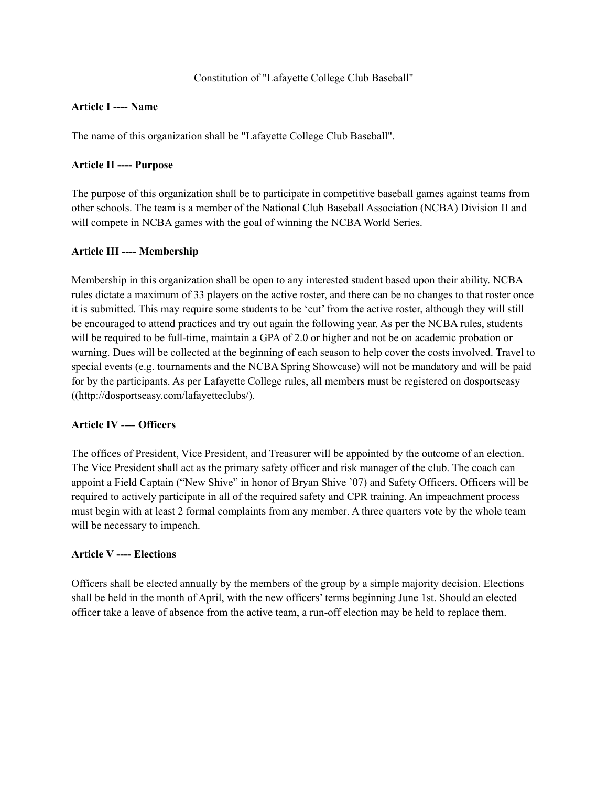### Constitution of "Lafayette College Club Baseball"

# **Article I ---- Name**

The name of this organization shall be "Lafayette College Club Baseball".

# **Article II ---- Purpose**

The purpose of this organization shall be to participate in competitive baseball games against teams from other schools. The team is a member of the National Club Baseball Association (NCBA) Division II and will compete in NCBA games with the goal of winning the NCBA World Series.

# **Article III ---- Membership**

Membership in this organization shall be open to any interested student based upon their ability. NCBA rules dictate a maximum of 33 players on the active roster, and there can be no changes to that roster once it is submitted. This may require some students to be 'cut' from the active roster, although they will still be encouraged to attend practices and try out again the following year. As per the NCBA rules, students will be required to be full-time, maintain a GPA of 2.0 or higher and not be on academic probation or warning. Dues will be collected at the beginning of each season to help cover the costs involved. Travel to special events (e.g. tournaments and the NCBA Spring Showcase) will not be mandatory and will be paid for by the participants. As per Lafayette College rules, all members must be registered on dosportseasy ((http://dosportseasy.com/lafayetteclubs/).

### **Article IV ---- Officers**

The offices of President, Vice President, and Treasurer will be appointed by the outcome of an election. The Vice President shall act as the primary safety officer and risk manager of the club. The coach can appoint a Field Captain ("New Shive" in honor of Bryan Shive '07) and Safety Officers. Officers will be required to actively participate in all of the required safety and CPR training. An impeachment process must begin with at least 2 formal complaints from any member. A three quarters vote by the whole team will be necessary to impeach.

### **Article V ---- Elections**

Officers shall be elected annually by the members of the group by a simple majority decision. Elections shall be held in the month of April, with the new officers' terms beginning June 1st. Should an elected officer take a leave of absence from the active team, a run-off election may be held to replace them.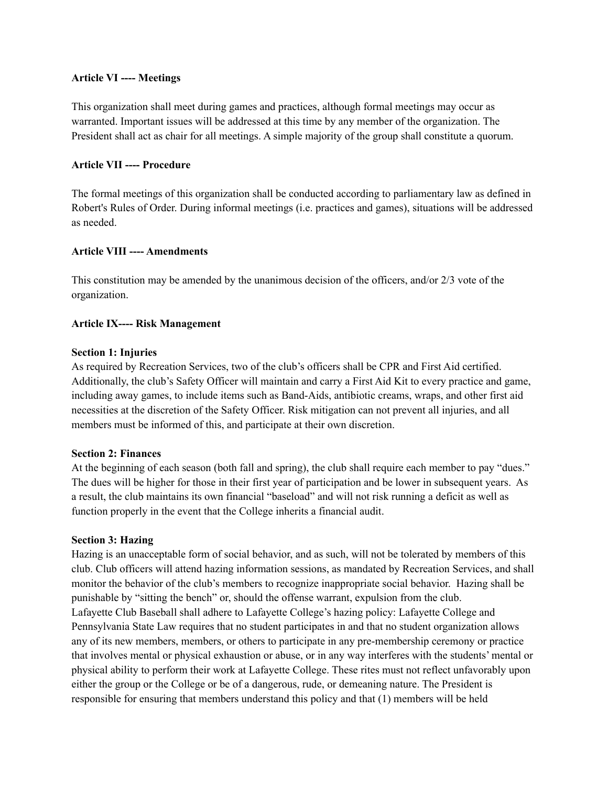#### **Article VI ---- Meetings**

This organization shall meet during games and practices, although formal meetings may occur as warranted. Important issues will be addressed at this time by any member of the organization. The President shall act as chair for all meetings. A simple majority of the group shall constitute a quorum.

### **Article VII ---- Procedure**

The formal meetings of this organization shall be conducted according to parliamentary law as defined in Robert's Rules of Order. During informal meetings (i.e. practices and games), situations will be addressed as needed.

#### **Article VIII ---- Amendments**

This constitution may be amended by the unanimous decision of the officers, and/or 2/3 vote of the organization.

#### **Article IX---- Risk Management**

#### **Section 1: Injuries**

As required by Recreation Services, two of the club's officers shall be CPR and First Aid certified. Additionally, the club's Safety Officer will maintain and carry a First Aid Kit to every practice and game, including away games, to include items such as Band-Aids, antibiotic creams, wraps, and other first aid necessities at the discretion of the Safety Officer. Risk mitigation can not prevent all injuries, and all members must be informed of this, and participate at their own discretion.

#### **Section 2: Finances**

At the beginning of each season (both fall and spring), the club shall require each member to pay "dues." The dues will be higher for those in their first year of participation and be lower in subsequent years. As a result, the club maintains its own financial "baseload" and will not risk running a deficit as well as function properly in the event that the College inherits a financial audit.

#### **Section 3: Hazing**

Hazing is an unacceptable form of social behavior, and as such, will not be tolerated by members of this club. Club officers will attend hazing information sessions, as mandated by Recreation Services, and shall monitor the behavior of the club's members to recognize inappropriate social behavior. Hazing shall be punishable by "sitting the bench" or, should the offense warrant, expulsion from the club. Lafayette Club Baseball shall adhere to Lafayette College's hazing policy: Lafayette College and Pennsylvania State Law requires that no student participates in and that no student organization allows any of its new members, members, or others to participate in any pre-membership ceremony or practice that involves mental or physical exhaustion or abuse, or in any way interferes with the students' mental or physical ability to perform their work at Lafayette College. These rites must not reflect unfavorably upon either the group or the College or be of a dangerous, rude, or demeaning nature. The President is responsible for ensuring that members understand this policy and that (1) members will be held